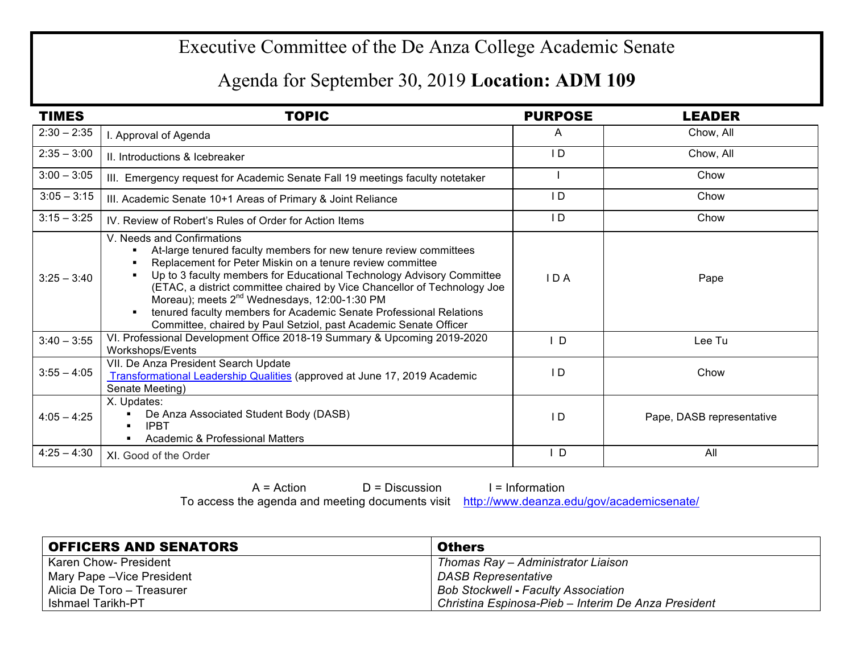## Executive Committee of the De Anza College Academic Senate

## Agenda for September 30, 2019 **Location: ADM 109**

| <b>TIMES</b>  | <b>TOPIC</b>                                                                                                                                                                                                                                                                                                                                                                                                                                                                                                            | <b>PURPOSE</b> | <b>LEADER</b>             |
|---------------|-------------------------------------------------------------------------------------------------------------------------------------------------------------------------------------------------------------------------------------------------------------------------------------------------------------------------------------------------------------------------------------------------------------------------------------------------------------------------------------------------------------------------|----------------|---------------------------|
| $2:30 - 2:35$ | I. Approval of Agenda                                                                                                                                                                                                                                                                                                                                                                                                                                                                                                   | A              | Chow, All                 |
| $2:35 - 3:00$ | II. Introductions & Icebreaker                                                                                                                                                                                                                                                                                                                                                                                                                                                                                          | ID             | Chow, All                 |
| $3:00 - 3:05$ | III. Emergency request for Academic Senate Fall 19 meetings faculty notetaker                                                                                                                                                                                                                                                                                                                                                                                                                                           |                | Chow                      |
| $3:05 - 3:15$ | III. Academic Senate 10+1 Areas of Primary & Joint Reliance                                                                                                                                                                                                                                                                                                                                                                                                                                                             | ID             | Chow                      |
| $3:15 - 3:25$ | IV. Review of Robert's Rules of Order for Action Items                                                                                                                                                                                                                                                                                                                                                                                                                                                                  | ID             | Chow                      |
| $3:25 - 3:40$ | V. Needs and Confirmations<br>At-large tenured faculty members for new tenure review committees<br>Replacement for Peter Miskin on a tenure review committee<br>Up to 3 faculty members for Educational Technology Advisory Committee<br>(ETAC, a district committee chaired by Vice Chancellor of Technology Joe<br>Moreau); meets 2 <sup>nd</sup> Wednesdays, 12:00-1:30 PM<br>tenured faculty members for Academic Senate Professional Relations<br>Committee, chaired by Paul Setziol, past Academic Senate Officer | IDA            | Pape                      |
| $3:40 - 3:55$ | VI. Professional Development Office 2018-19 Summary & Upcoming 2019-2020<br>Workshops/Events                                                                                                                                                                                                                                                                                                                                                                                                                            | I D            | Lee Tu                    |
| $3:55 - 4:05$ | VII. De Anza President Search Update<br>Transformational Leadership Qualities (approved at June 17, 2019 Academic<br>Senate Meeting)                                                                                                                                                                                                                                                                                                                                                                                    | I D            | Chow                      |
| $4:05 - 4:25$ | X. Updates:<br>De Anza Associated Student Body (DASB)<br><b>IPBT</b><br><b>Academic &amp; Professional Matters</b>                                                                                                                                                                                                                                                                                                                                                                                                      | $\overline{D}$ | Pape, DASB representative |
| $4:25 - 4:30$ | XI. Good of the Order                                                                                                                                                                                                                                                                                                                                                                                                                                                                                                   | ΙD             | All                       |

 $A = Action$   $D = Discussion$  I = Information To access the agenda and meeting documents visit http://www.deanza.edu/gov/academicsenate/

| <b>OFFICERS AND SENATORS</b> | <b>Others</b>                                       |
|------------------------------|-----------------------------------------------------|
| Karen Chow- President        | Thomas Ray – Administrator Liaison                  |
| Mary Pape - Vice President   | DASB Representative                                 |
| Alicia De Toro - Treasurer   | <b>Bob Stockwell - Faculty Association</b>          |
| Ishmael Tarikh-PT            | Christina Espinosa-Pieb – Interim De Anza President |